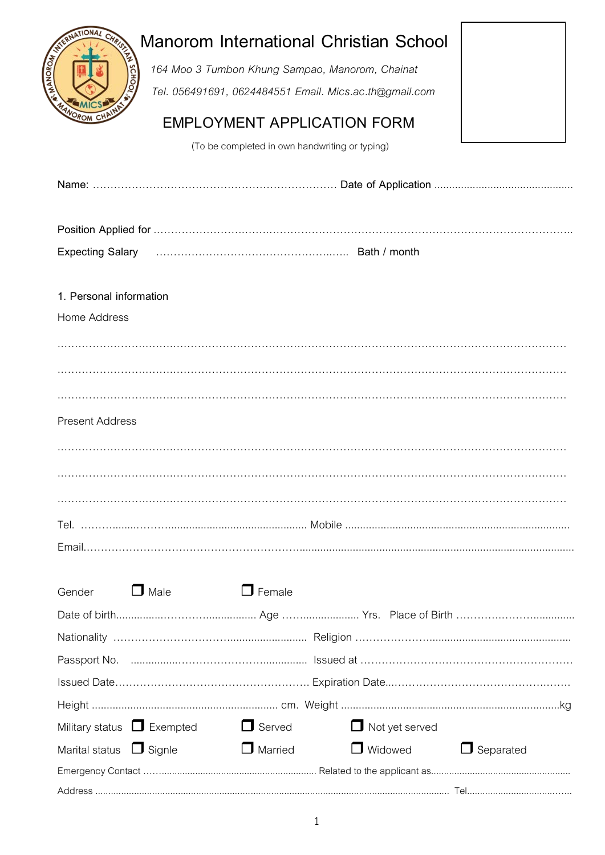|                                               |                                                | <b>Manorom International Christian School</b>          |                  |
|-----------------------------------------------|------------------------------------------------|--------------------------------------------------------|------------------|
| <b>ANOROM</b>                                 |                                                | 164 Moo 3 Tumbon Khung Sampao, Manorom, Chainat        |                  |
|                                               |                                                | Tel. 056491691, 0624484551 Email. Mics.ac.th@gmail.com |                  |
|                                               |                                                |                                                        |                  |
|                                               |                                                | <b>EMPLOYMENT APPLICATION FORM</b>                     |                  |
|                                               | (To be completed in own handwriting or typing) |                                                        |                  |
|                                               |                                                |                                                        |                  |
|                                               |                                                |                                                        |                  |
| <b>Expecting Salary</b>                       |                                                |                                                        |                  |
|                                               |                                                |                                                        |                  |
| 1. Personal information                       |                                                |                                                        |                  |
| Home Address                                  |                                                |                                                        |                  |
|                                               |                                                |                                                        |                  |
|                                               |                                                |                                                        |                  |
|                                               |                                                |                                                        |                  |
|                                               |                                                |                                                        |                  |
| <b>Present Address</b>                        |                                                |                                                        |                  |
|                                               |                                                |                                                        |                  |
|                                               |                                                |                                                        |                  |
|                                               |                                                |                                                        |                  |
|                                               |                                                |                                                        |                  |
|                                               |                                                |                                                        |                  |
|                                               |                                                |                                                        |                  |
|                                               |                                                |                                                        |                  |
| $\Box$ Male<br>Gender                         | $\Box$ Female                                  |                                                        |                  |
|                                               |                                                |                                                        |                  |
|                                               |                                                |                                                        |                  |
|                                               |                                                |                                                        |                  |
|                                               |                                                |                                                        |                  |
|                                               |                                                |                                                        |                  |
|                                               |                                                |                                                        |                  |
| Military status $\Box$ Exempted $\Box$ Served |                                                | $\Box$ Not yet served<br>$\Box$ Widowed                |                  |
| Marital status $\Box$ Signle                  | $\Box$ Married                                 |                                                        | $\Box$ Separated |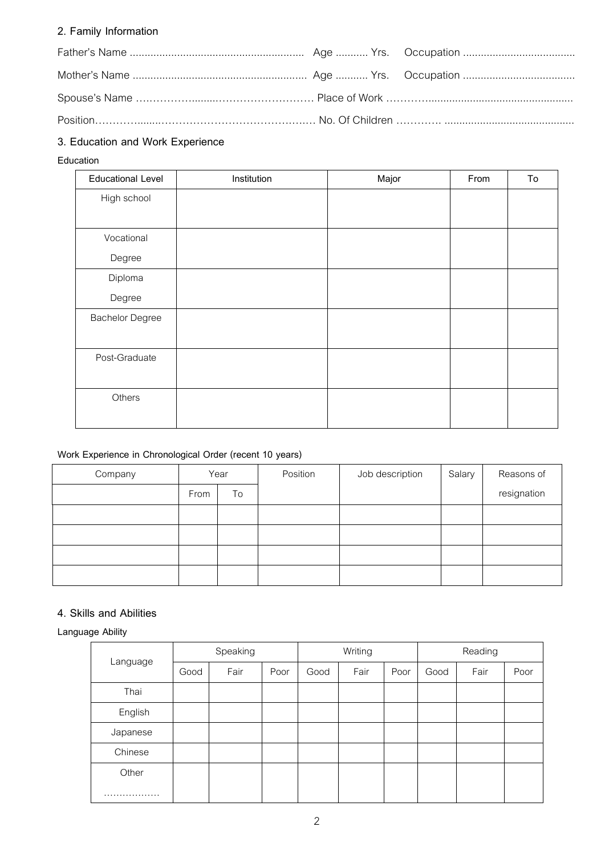## **2. Family Information**

# **3. Education and Work Experience**

#### **Education**

| <b>Educational Level</b> | Institution | Major | From | To |
|--------------------------|-------------|-------|------|----|
| High school              |             |       |      |    |
|                          |             |       |      |    |
| Vocational               |             |       |      |    |
| Degree                   |             |       |      |    |
| Diploma                  |             |       |      |    |
| Degree                   |             |       |      |    |
| <b>Bachelor Degree</b>   |             |       |      |    |
|                          |             |       |      |    |
| Post-Graduate            |             |       |      |    |
|                          |             |       |      |    |
| Others                   |             |       |      |    |
|                          |             |       |      |    |

## **Work Experience in Chronological Order (recent 10 years)**

| Company | Year |    | Position | Job description | Salary | Reasons of  |  |  |  |  |
|---------|------|----|----------|-----------------|--------|-------------|--|--|--|--|
|         | From | To |          |                 |        | resignation |  |  |  |  |
|         |      |    |          |                 |        |             |  |  |  |  |
|         |      |    |          |                 |        |             |  |  |  |  |
|         |      |    |          |                 |        |             |  |  |  |  |
|         |      |    |          |                 |        |             |  |  |  |  |

#### **4. Skills and Abilities**

**Language Ability**

|          |      | Speaking |      |      | Writing |      | Reading |      |      |  |  |  |
|----------|------|----------|------|------|---------|------|---------|------|------|--|--|--|
| Language | Good | Fair     | Poor | Good | Fair    | Poor | Good    | Fair | Poor |  |  |  |
| Thai     |      |          |      |      |         |      |         |      |      |  |  |  |
| English  |      |          |      |      |         |      |         |      |      |  |  |  |
| Japanese |      |          |      |      |         |      |         |      |      |  |  |  |
| Chinese  |      |          |      |      |         |      |         |      |      |  |  |  |
| Other    |      |          |      |      |         |      |         |      |      |  |  |  |
| .        |      |          |      |      |         |      |         |      |      |  |  |  |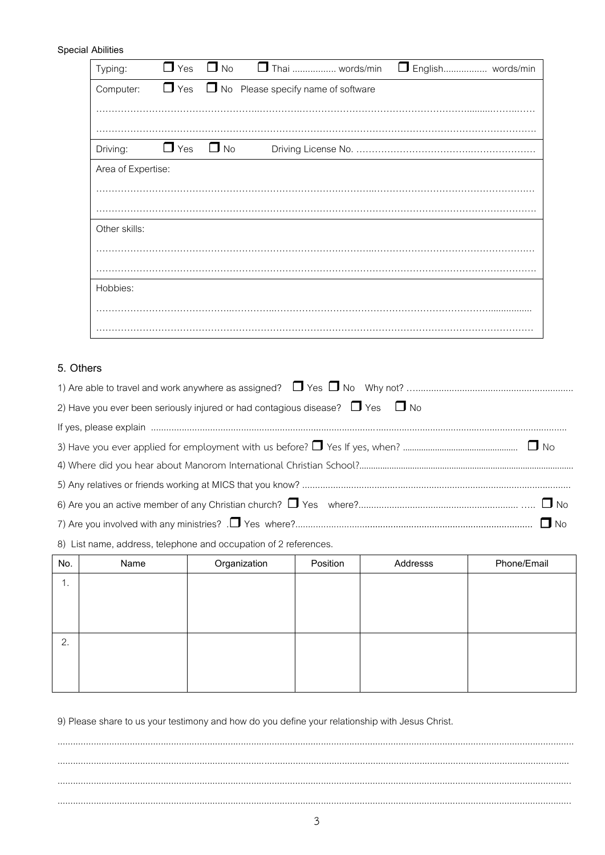#### **Special Abilities**

| Typing:            | $\Box$ Yes           | $\Box$ No | □ Thai  words/min                                    | English words/min |
|--------------------|----------------------|-----------|------------------------------------------------------|-------------------|
| Computer:          |                      |           | $\Box$ Yes $\Box$ No Please specify name of software |                   |
|                    |                      |           |                                                      |                   |
|                    |                      |           |                                                      |                   |
| Driving:           | $\Box$ Yes $\Box$ No |           |                                                      |                   |
| Area of Expertise: |                      |           |                                                      |                   |
|                    |                      |           |                                                      |                   |
|                    |                      |           |                                                      |                   |
| Other skills:      |                      |           |                                                      |                   |
|                    |                      |           |                                                      |                   |
|                    |                      |           |                                                      |                   |
| Hobbies:           |                      |           |                                                      |                   |
|                    |                      |           |                                                      |                   |
|                    |                      |           |                                                      |                   |

### 5. Others

| 2) Have you ever been seriously injured or had contagious disease? $\Box$ Yes $\Box$ No |
|-----------------------------------------------------------------------------------------|
|                                                                                         |
|                                                                                         |
|                                                                                         |
|                                                                                         |
|                                                                                         |
|                                                                                         |

8) List name, address, telephone and occupation of 2 references.

| No. | Name | Organization | Position | Addresss | Phone/Email |
|-----|------|--------------|----------|----------|-------------|
| 1.  |      |              |          |          |             |
|     |      |              |          |          |             |
|     |      |              |          |          |             |
| 2.  |      |              |          |          |             |
|     |      |              |          |          |             |
|     |      |              |          |          |             |

9) Please share to us your testimony and how do you define your relationship with Jesus Christ.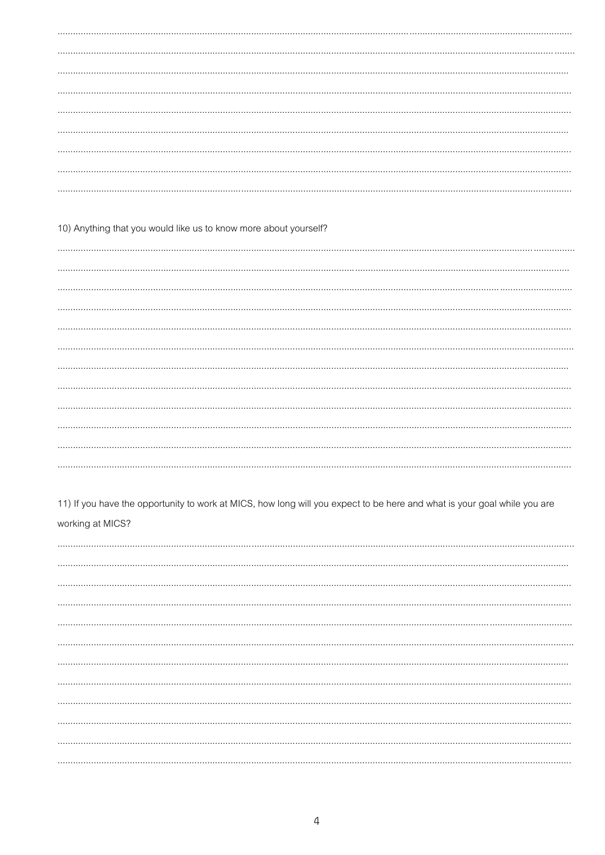10) Anything that you would like us to know more about yourself?

11) If you have the opportunity to work at MICS, how long will you expect to be here and what is your goal while you are working at MICS?